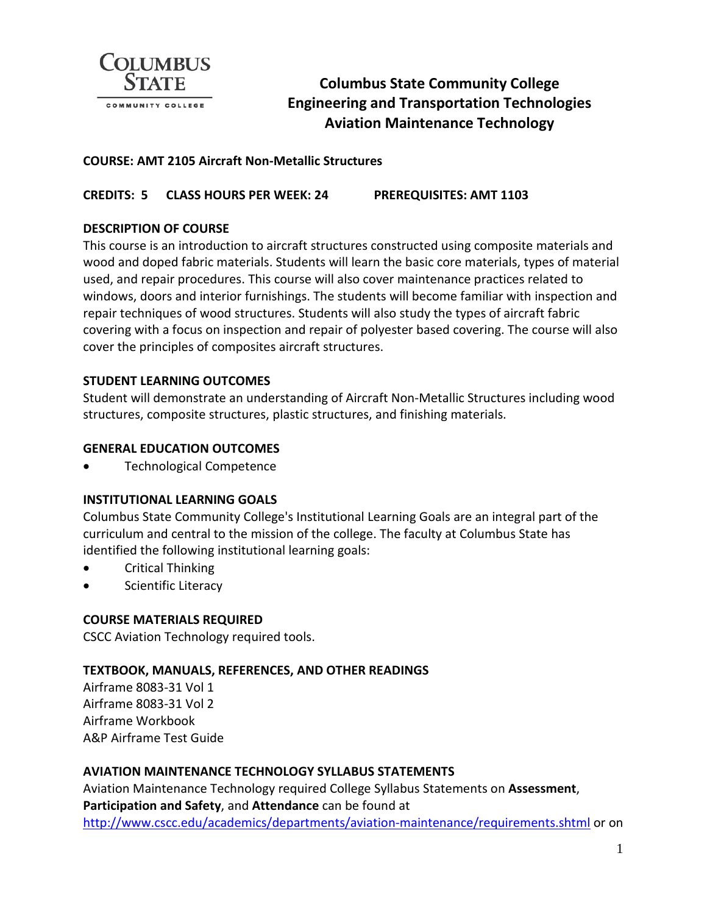

# **Columbus State Community College Engineering and Transportation Technologies Aviation Maintenance Technology**

## **COURSE: AMT 2105 Aircraft Non-Metallic Structures**

## **CREDITS: 5 CLASS HOURS PER WEEK: 24 PREREQUISITES: AMT 1103**

## **DESCRIPTION OF COURSE**

This course is an introduction to aircraft structures constructed using composite materials and wood and doped fabric materials. Students will learn the basic core materials, types of material used, and repair procedures. This course will also cover maintenance practices related to windows, doors and interior furnishings. The students will become familiar with inspection and repair techniques of wood structures. Students will also study the types of aircraft fabric covering with a focus on inspection and repair of polyester based covering. The course will also cover the principles of composites aircraft structures.

## **STUDENT LEARNING OUTCOMES**

Student will demonstrate an understanding of Aircraft Non-Metallic Structures including wood structures, composite structures, plastic structures, and finishing materials.

#### **GENERAL EDUCATION OUTCOMES**

• Technological Competence

#### **INSTITUTIONAL LEARNING GOALS**

Columbus State Community College's Institutional Learning Goals are an integral part of the curriculum and central to the mission of the college. The faculty at Columbus State has identified the following institutional learning goals:

- Critical Thinking
- Scientific Literacy

#### **COURSE MATERIALS REQUIRED**

CSCC Aviation Technology required tools.

#### **TEXTBOOK, MANUALS, REFERENCES, AND OTHER READINGS**

Airframe 8083-31 Vol 1 Airframe 8083-31 Vol 2 Airframe Workbook A&P Airframe Test Guide

#### **AVIATION MAINTENANCE TECHNOLOGY SYLLABUS STATEMENTS**

Aviation Maintenance Technology required College Syllabus Statements on **Assessment**, **Participation and Safety**, and **Attendance** can be found at <http://www.cscc.edu/academics/departments/aviation-maintenance/requirements.shtml> or on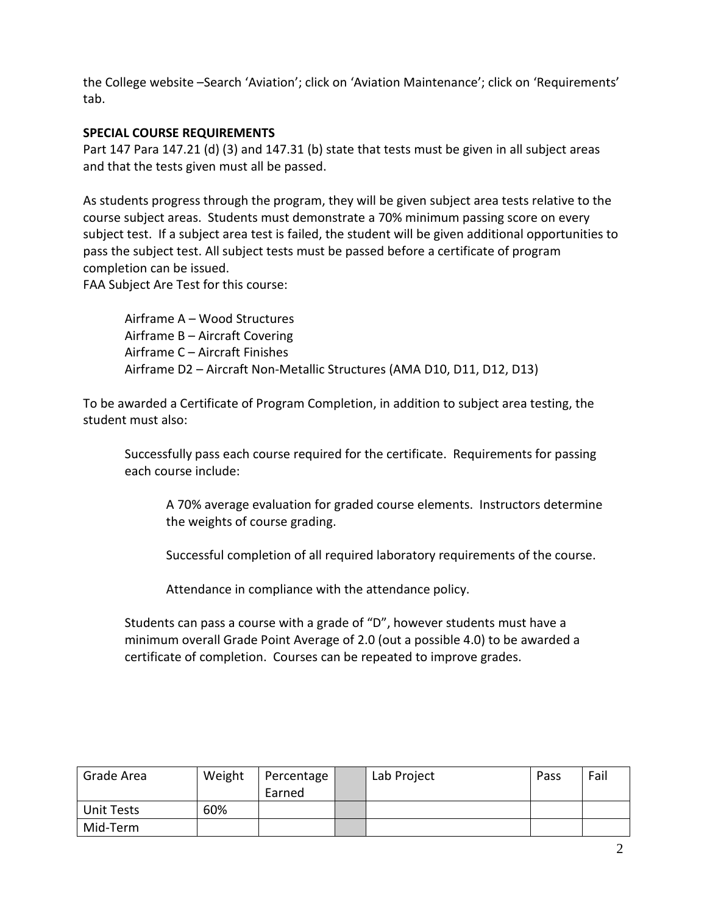the College website –Search 'Aviation'; click on 'Aviation Maintenance'; click on 'Requirements' tab.

## **SPECIAL COURSE REQUIREMENTS**

Part 147 Para 147.21 (d) (3) and 147.31 (b) state that tests must be given in all subject areas and that the tests given must all be passed.

As students progress through the program, they will be given subject area tests relative to the course subject areas. Students must demonstrate a 70% minimum passing score on every subject test. If a subject area test is failed, the student will be given additional opportunities to pass the subject test. All subject tests must be passed before a certificate of program completion can be issued.

FAA Subject Are Test for this course:

Airframe A – Wood Structures Airframe B – Aircraft Covering Airframe C – Aircraft Finishes Airframe D2 – Aircraft Non-Metallic Structures (AMA D10, D11, D12, D13)

To be awarded a Certificate of Program Completion, in addition to subject area testing, the student must also:

Successfully pass each course required for the certificate. Requirements for passing each course include:

A 70% average evaluation for graded course elements. Instructors determine the weights of course grading.

Successful completion of all required laboratory requirements of the course.

Attendance in compliance with the attendance policy.

Students can pass a course with a grade of "D", however students must have a minimum overall Grade Point Average of 2.0 (out a possible 4.0) to be awarded a certificate of completion. Courses can be repeated to improve grades.

| Grade Area | Weight | Percentage<br>Earned | Lab Project | Pass | Fail |
|------------|--------|----------------------|-------------|------|------|
| Unit Tests | 60%    |                      |             |      |      |
| Mid-Term   |        |                      |             |      |      |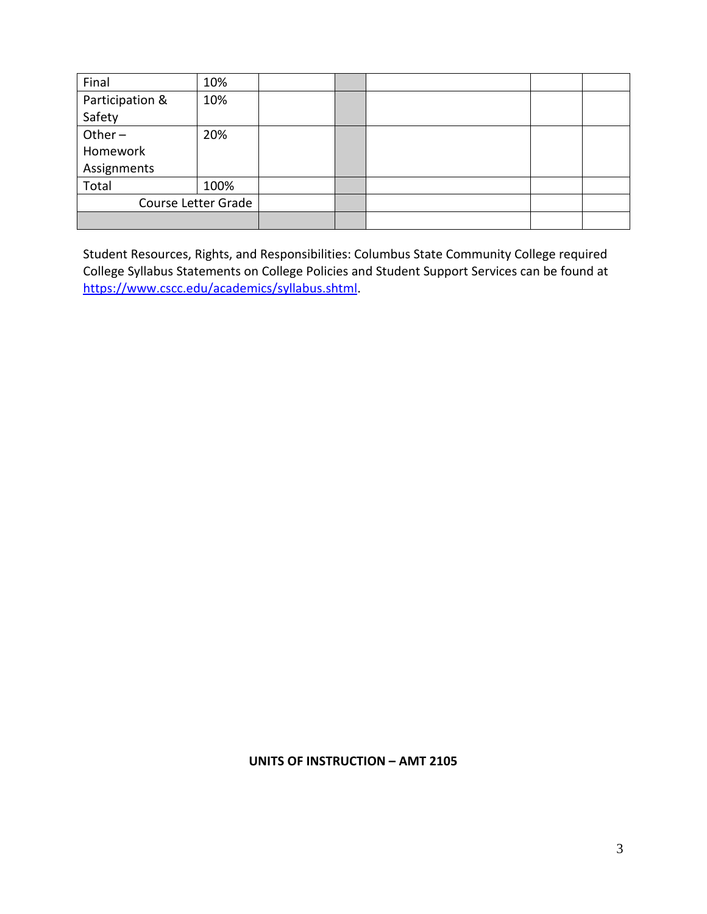| Final               | 10%  |  |  |  |
|---------------------|------|--|--|--|
| Participation &     | 10%  |  |  |  |
| Safety              |      |  |  |  |
| Other $-$           | 20%  |  |  |  |
| Homework            |      |  |  |  |
| Assignments         |      |  |  |  |
| Total               | 100% |  |  |  |
| Course Letter Grade |      |  |  |  |
|                     |      |  |  |  |

Student Resources, Rights, and Responsibilities: Columbus State Community College required College Syllabus Statements on College Policies and Student Support Services can be found at [https://www.cscc.edu/academics/syllabus.shtml.](https://www.cscc.edu/academics/syllabus.shtml)

**UNITS OF INSTRUCTION – AMT 2105**